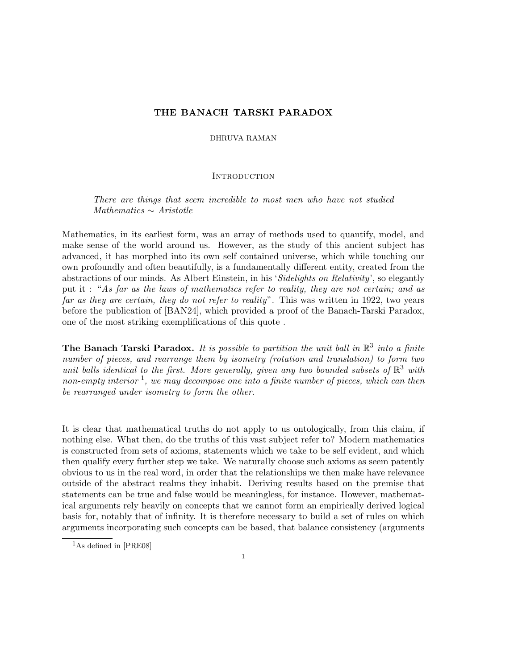# THE BANACH TARSKI PARADOX

## DHRUVA RAMAN

# **INTRODUCTION**

There are things that seem incredible to most men who have not studied Mathematics ∼ Aristotle

Mathematics, in its earliest form, was an array of methods used to quantify, model, and make sense of the world around us. However, as the study of this ancient subject has advanced, it has morphed into its own self contained universe, which while touching our own profoundly and often beautifully, is a fundamentally different entity, created from the abstractions of our minds. As Albert Einstein, in his 'Sidelights on Relativity', so elegantly put it : "As far as the laws of mathematics refer to reality, they are not certain; and as far as they are certain, they do not refer to reality". This was written in 1922, two years before the publication of [BAN24], which provided a proof of the Banach-Tarski Paradox, one of the most striking exemplifications of this quote .

The Banach Tarski Paradox. It is possible to partition the unit ball in  $\mathbb{R}^3$  into a finite number of pieces, and rearrange them by isometry (rotation and translation) to form two unit balls identical to the first. More generally, given any two bounded subsets of  $\mathbb{R}^3$  with non-empty interior  $\frac{1}{2}$ , we may decompose one into a finite number of pieces, which can then be rearranged under isometry to form the other.

It is clear that mathematical truths do not apply to us ontologically, from this claim, if nothing else. What then, do the truths of this vast subject refer to? Modern mathematics is constructed from sets of axioms, statements which we take to be self evident, and which then qualify every further step we take. We naturally choose such axioms as seem patently obvious to us in the real word, in order that the relationships we then make have relevance outside of the abstract realms they inhabit. Deriving results based on the premise that statements can be true and false would be meaningless, for instance. However, mathematical arguments rely heavily on concepts that we cannot form an empirically derived logical basis for, notably that of infinity. It is therefore necessary to build a set of rules on which arguments incorporating such concepts can be based, that balance consistency (arguments

<sup>1</sup>As defined in [PRE08]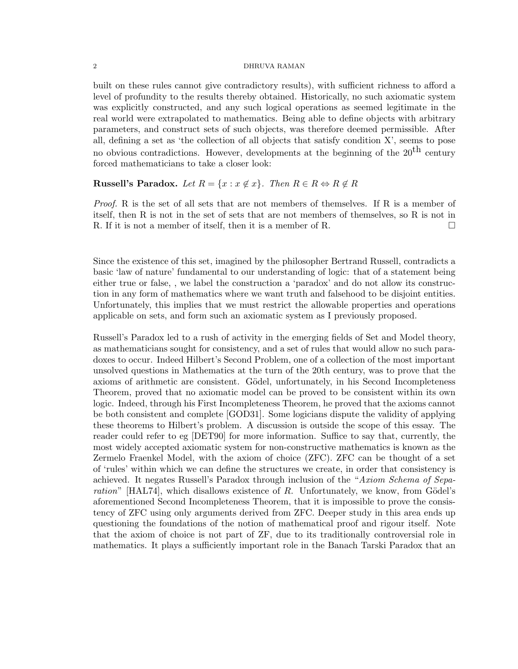built on these rules cannot give contradictory results), with sufficient richness to afford a level of profundity to the results thereby obtained. Historically, no such axiomatic system was explicitly constructed, and any such logical operations as seemed legitimate in the real world were extrapolated to mathematics. Being able to define objects with arbitrary parameters, and construct sets of such objects, was therefore deemed permissible. After all, defining a set as 'the collection of all objects that satisfy condition X', seems to pose no obvious contradictions. However, developments at the beginning of the  $20<sup>th</sup>$  century forced mathematicians to take a closer look:

# Russell's Paradox. Let  $R = \{x : x \notin x\}$ . Then  $R \in R \Leftrightarrow R \notin R$

Proof. R is the set of all sets that are not members of themselves. If R is a member of itself, then R is not in the set of sets that are not members of themselves, so R is not in R. If it is not a member of itself, then it is a member of R.

Since the existence of this set, imagined by the philosopher Bertrand Russell, contradicts a basic 'law of nature' fundamental to our understanding of logic: that of a statement being either true or false, , we label the construction a 'paradox' and do not allow its construction in any form of mathematics where we want truth and falsehood to be disjoint entities. Unfortunately, this implies that we must restrict the allowable properties and operations applicable on sets, and form such an axiomatic system as I previously proposed.

Russell's Paradox led to a rush of activity in the emerging fields of Set and Model theory, as mathematicians sought for consistency, and a set of rules that would allow no such paradoxes to occur. Indeed Hilbert's Second Problem, one of a collection of the most important unsolved questions in Mathematics at the turn of the 20th century, was to prove that the axioms of arithmetic are consistent. Gödel, unfortunately, in his Second Incompleteness Theorem, proved that no axiomatic model can be proved to be consistent within its own logic. Indeed, through his First Incompleteness Theorem, he proved that the axioms cannot be both consistent and complete [GOD31]. Some logicians dispute the validity of applying these theorems to Hilbert's problem. A discussion is outside the scope of this essay. The reader could refer to eg [DET90] for more information. Suffice to say that, currently, the most widely accepted axiomatic system for non-constructive mathematics is known as the Zermelo Fraenkel Model, with the axiom of choice (ZFC). ZFC can be thought of a set of 'rules' within which we can define the structures we create, in order that consistency is achieved. It negates Russell's Paradox through inclusion of the "Axiom Schema of Separation"  $[HAL74]$ , which disallows existence of R. Unfortunately, we know, from Gödel's aforementioned Second Incompleteness Theorem, that it is impossible to prove the consistency of ZFC using only arguments derived from ZFC. Deeper study in this area ends up questioning the foundations of the notion of mathematical proof and rigour itself. Note that the axiom of choice is not part of ZF, due to its traditionally controversial role in mathematics. It plays a sufficiently important role in the Banach Tarski Paradox that an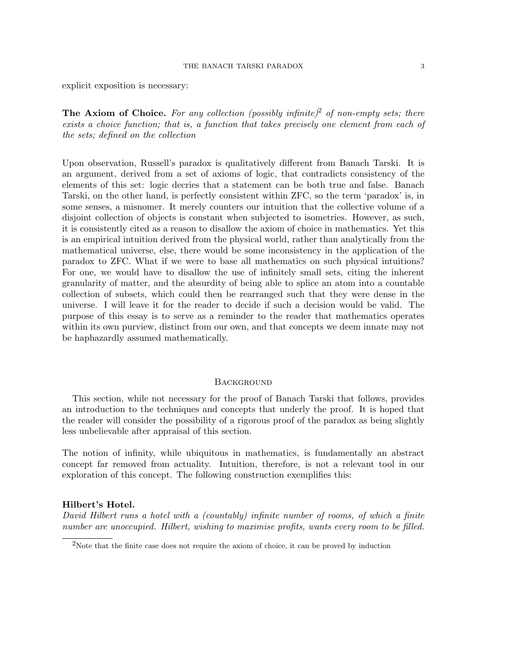explicit exposition is necessary:

The Axiom of Choice. For any collection (possibly infinite)<sup>2</sup> of non-empty sets; there exists a choice function; that is, a function that takes precisely one element from each of the sets; defined on the collection

Upon observation, Russell's paradox is qualitatively different from Banach Tarski. It is an argument, derived from a set of axioms of logic, that contradicts consistency of the elements of this set: logic decries that a statement can be both true and false. Banach Tarski, on the other hand, is perfectly consistent within ZFC, so the term 'paradox' is, in some senses, a misnomer. It merely counters our intuition that the collective volume of a disjoint collection of objects is constant when subjected to isometries. However, as such, it is consistently cited as a reason to disallow the axiom of choice in mathematics. Yet this is an empirical intuition derived from the physical world, rather than analytically from the mathematical universe, else, there would be some inconsistency in the application of the paradox to ZFC. What if we were to base all mathematics on such physical intuitions? For one, we would have to disallow the use of infinitely small sets, citing the inherent granularity of matter, and the absurdity of being able to splice an atom into a countable collection of subsets, which could then be rearranged such that they were dense in the universe. I will leave it for the reader to decide if such a decision would be valid. The purpose of this essay is to serve as a reminder to the reader that mathematics operates within its own purview, distinct from our own, and that concepts we deem innate may not be haphazardly assumed mathematically.

# **BACKGROUND**

This section, while not necessary for the proof of Banach Tarski that follows, provides an introduction to the techniques and concepts that underly the proof. It is hoped that the reader will consider the possibility of a rigorous proof of the paradox as being slightly less unbelievable after appraisal of this section.

The notion of infinity, while ubiquitous in mathematics, is fundamentally an abstract concept far removed from actuality. Intuition, therefore, is not a relevant tool in our exploration of this concept. The following construction exemplifies this:

## Hilbert's Hotel.

David Hilbert runs a hotel with a (countably) infinite number of rooms, of which a finite number are unoccupied. Hilbert, wishing to maximise profits, wants every room to be filled.

<sup>2</sup>Note that the finite case does not require the axiom of choice, it can be proved by induction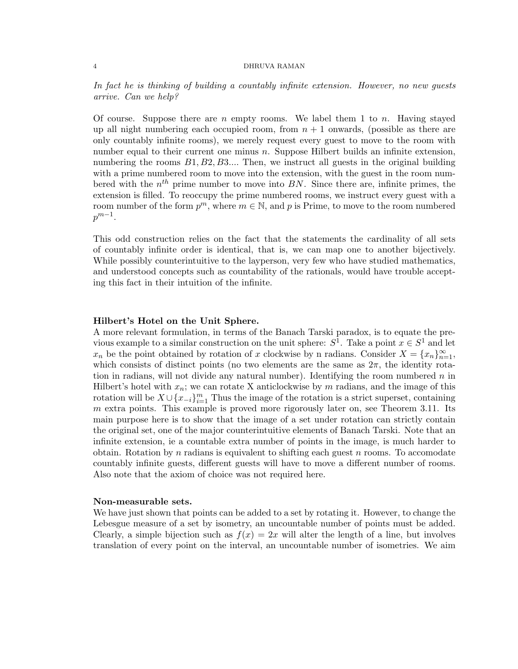In fact he is thinking of building a countably infinite extension. However, no new guests arrive. Can we help?

Of course. Suppose there are n empty rooms. We label them 1 to n. Having stayed up all night numbering each occupied room, from  $n + 1$  onwards, (possible as there are only countably infinite rooms), we merely request every guest to move to the room with number equal to their current one minus *n*. Suppose Hilbert builds an infinite extension, numbering the rooms  $B1, B2, B3...$  Then, we instruct all guests in the original building with a prime numbered room to move into the extension, with the guest in the room numbered with the  $n^{th}$  prime number to move into BN. Since there are, infinite primes, the extension is filled. To reoccupy the prime numbered rooms, we instruct every guest with a room number of the form  $p^m$ , where  $m \in \mathbb{N}$ , and p is Prime, to move to the room numbered  $p^{m-1}$ .

This odd construction relies on the fact that the statements the cardinality of all sets of countably infinite order is identical, that is, we can map one to another bijectively. While possibly counterintuitive to the layperson, very few who have studied mathematics, and understood concepts such as countability of the rationals, would have trouble accepting this fact in their intuition of the infinite.

## Hilbert's Hotel on the Unit Sphere.

A more relevant formulation, in terms of the Banach Tarski paradox, is to equate the previous example to a similar construction on the unit sphere:  $S^1$ . Take a point  $x \in S^1$  and let  $x_n$  be the point obtained by rotation of x clockwise by n radians. Consider  $X = \{x_n\}_{n=1}^{\infty}$ , which consists of distinct points (no two elements are the same as  $2\pi$ , the identity rotation in radians, will not divide any natural number). Identifying the room numbered  $n$  in Hilbert's hotel with  $x_n$ ; we can rotate X anticlockwise by m radians, and the image of this rotation will be  $X \cup \{x_{-i}\}_{i=1}^m$  Thus the image of the rotation is a strict superset, containing  $m$  extra points. This example is proved more rigorously later on, see Theorem 3.11. Its main purpose here is to show that the image of a set under rotation can strictly contain the original set, one of the major counterintuitive elements of Banach Tarski. Note that an infinite extension, ie a countable extra number of points in the image, is much harder to obtain. Rotation by n radians is equivalent to shifting each guest n rooms. To accomodate countably infinite guests, different guests will have to move a different number of rooms. Also note that the axiom of choice was not required here.

## Non-measurable sets.

We have just shown that points can be added to a set by rotating it. However, to change the Lebesgue measure of a set by isometry, an uncountable number of points must be added. Clearly, a simple bijection such as  $f(x) = 2x$  will alter the length of a line, but involves translation of every point on the interval, an uncountable number of isometries. We aim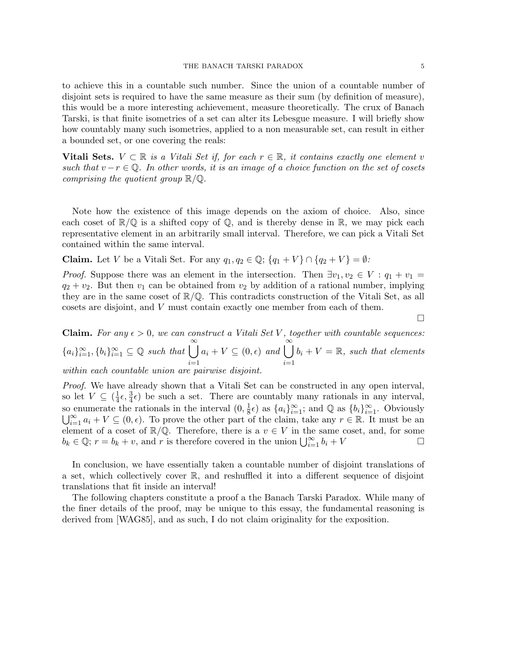to achieve this in a countable such number. Since the union of a countable number of disjoint sets is required to have the same measure as their sum (by definition of measure), this would be a more interesting achievement, measure theoretically. The crux of Banach Tarski, is that finite isometries of a set can alter its Lebesgue measure. I will briefly show how countably many such isometries, applied to a non measurable set, can result in either a bounded set, or one covering the reals:

Vitali Sets.  $V \subset \mathbb{R}$  is a Vitali Set if, for each  $r \in \mathbb{R}$ , it contains exactly one element v such that  $v-r \in \mathbb{Q}$ . In other words, it is an image of a choice function on the set of cosets comprising the quotient group  $\mathbb{R}/\mathbb{Q}$ .

Note how the existence of this image depends on the axiom of choice. Also, since each coset of  $\mathbb{R}/\mathbb{Q}$  is a shifted copy of  $\mathbb{Q}$ , and is thereby dense in  $\mathbb{R}$ , we may pick each representative element in an arbitrarily small interval. Therefore, we can pick a Vitali Set contained within the same interval.

**Claim.** Let V be a Vitali Set. For any  $q_1, q_2 \in \mathbb{Q}$ ;  $\{q_1 + V\} \cap \{q_2 + V\} = \emptyset$ :

*Proof.* Suppose there was an element in the intersection. Then  $\exists v_1, v_2 \in V : q_1 + v_1 =$  $q_2 + v_2$ . But then  $v_1$  can be obtained from  $v_2$  by addition of a rational number, implying they are in the same coset of  $\mathbb{R}/\mathbb{Q}$ . This contradicts construction of the Vitali Set, as all cosets are disjoint, and V must contain exactly one member from each of them.

 $\Box$ 

**Claim.** For any  $\epsilon > 0$ , we can construct a Vitali Set V, together with countable sequences:  ${a_i}_{i=1}^{\infty}, {b_i}_{i=1}^{\infty} \subseteq \mathbb{Q}$  such that  $\bigcup^{\infty}$  $i=1$  $a_i + V \subseteq (0, \epsilon)$  and  $\bigcup^{\infty}$  $i=1$  $b_i + V = \mathbb{R}$ , such that elements within each countable union are pairwise disjoint.

Proof. We have already shown that a Vitali Set can be constructed in any open interval, so let  $V \subseteq \left(\frac{1}{4}\right)$  $\frac{1}{4}\epsilon$ ,  $\frac{3}{4}\epsilon$ ) be such a set. There are countably many rationals in any interval, so enumerate the rationals in the interval  $(0, \frac{1}{8})$  $\frac{1}{8}$  $\epsilon$ ) as  $\{a_i\}_{i=1}^{\infty}$ ; and  $\mathbb{Q}$  as  $\{b_i\}_{i=1}^{\infty}$ . Obviously  $\bigcup_{i=1}^{\infty} a_i + V \subseteq (0, \epsilon)$ . To prove the other part of the claim, take any  $r \in \mathbb{R}$ . It must be an element of a coset of  $\mathbb{R}/\mathbb{Q}$ . Therefore, there is a  $v \in V$  in the same coset, and, for some  $b_k \in \mathbb{Q}$ ;  $r = b_k + v$ , and r is therefore covered in the union  $\bigcup_{i=1}^{\infty} b_i + V$ 

In conclusion, we have essentially taken a countable number of disjoint translations of a set, which collectively cover R, and reshuffled it into a different sequence of disjoint translations that fit inside an interval!

The following chapters constitute a proof a the Banach Tarski Paradox. While many of the finer details of the proof, may be unique to this essay, the fundamental reasoning is derived from [WAG85], and as such, I do not claim originality for the exposition.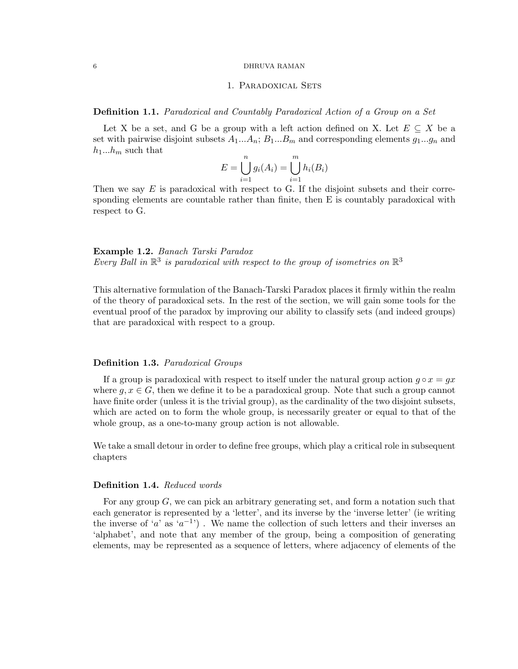# 1. Paradoxical Sets

Definition 1.1. Paradoxical and Countably Paradoxical Action of a Group on a Set

Let X be a set, and G be a group with a left action defined on X. Let  $E \subseteq X$  be a set with pairwise disjoint subsets  $A_1...A_n$ ;  $B_1...B_m$  and corresponding elements  $g_1...g_n$  and  $h_1...h_m$  such that

$$
E = \bigcup_{i=1}^{n} g_i(A_i) = \bigcup_{i=1}^{m} h_i(B_i)
$$

Then we say  $E$  is paradoxical with respect to G. If the disjoint subsets and their corresponding elements are countable rather than finite, then E is countably paradoxical with respect to G.

Example 1.2. Banach Tarski Paradox Every Ball in  $\mathbb{R}^3$  is paradoxical with respect to the group of isometries on  $\mathbb{R}^3$ 

This alternative formulation of the Banach-Tarski Paradox places it firmly within the realm of the theory of paradoxical sets. In the rest of the section, we will gain some tools for the eventual proof of the paradox by improving our ability to classify sets (and indeed groups) that are paradoxical with respect to a group.

## Definition 1.3. Paradoxical Groups

If a group is paradoxical with respect to itself under the natural group action  $q \circ x = gx$ where  $g, x \in G$ , then we define it to be a paradoxical group. Note that such a group cannot have finite order (unless it is the trivial group), as the cardinality of the two disjoint subsets, which are acted on to form the whole group, is necessarily greater or equal to that of the whole group, as a one-to-many group action is not allowable.

We take a small detour in order to define free groups, which play a critical role in subsequent chapters

# Definition 1.4. Reduced words

For any group G, we can pick an arbitrary generating set, and form a notation such that each generator is represented by a 'letter', and its inverse by the 'inverse letter' (ie writing the inverse of 'a' as  $(a^{-1})$ . We name the collection of such letters and their inverses an 'alphabet', and note that any member of the group, being a composition of generating elements, may be represented as a sequence of letters, where adjacency of elements of the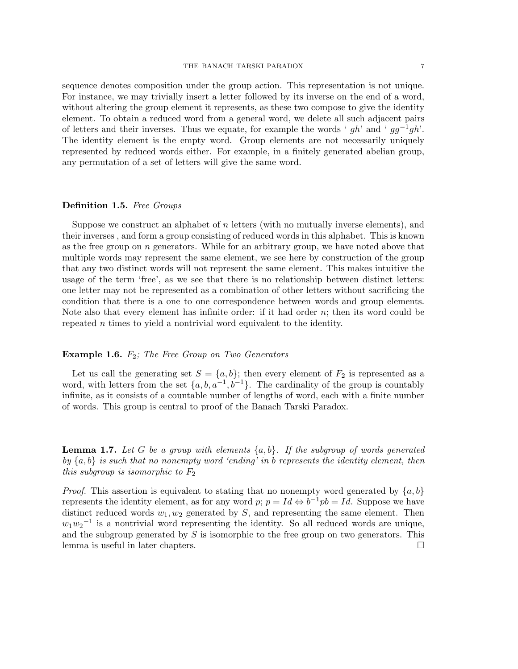without altering the group element it represents, as these two compose to give the identity element. To obtain a reduced word from a general word, we delete all such adjacent pairs of letters and their inverses. Thus we equate, for example the words '  $gh$ ' and '  $gg^{-1}gh$ '. The identity element is the empty word. Group elements are not necessarily uniquely represented by reduced words either. For example, in a finitely generated abelian group, any permutation of a set of letters will give the same word.

### Definition 1.5. Free Groups

Suppose we construct an alphabet of n letters (with no mutually inverse elements), and their inverses , and form a group consisting of reduced words in this alphabet. This is known as the free group on  $n$  generators. While for an arbitrary group, we have noted above that multiple words may represent the same element, we see here by construction of the group that any two distinct words will not represent the same element. This makes intuitive the usage of the term 'free', as we see that there is no relationship between distinct letters: one letter may not be represented as a combination of other letters without sacrificing the condition that there is a one to one correspondence between words and group elements. Note also that every element has infinite order: if it had order  $n$ ; then its word could be repeated n times to yield a nontrivial word equivalent to the identity.

## **Example 1.6.**  $F_2$ ; The Free Group on Two Generators

Let us call the generating set  $S = \{a, b\}$ ; then every element of  $F_2$  is represented as a word, with letters from the set  $\{a, b, a^{-1}, b^{-1}\}$ . The cardinality of the group is countably infinite, as it consists of a countable number of lengths of word, each with a finite number of words. This group is central to proof of the Banach Tarski Paradox.

**Lemma 1.7.** Let G be a group with elements  $\{a, b\}$ . If the subgroup of words generated by  ${a, b}$  is such that no nonempty word 'ending' in b represents the identity element, then this subgroup is isomorphic to  $F_2$ 

*Proof.* This assertion is equivalent to stating that no nonempty word generated by  $\{a, b\}$ represents the identity element, as for any word  $p$ ;  $p = Id \Leftrightarrow b^{-1}pb = Id$ . Suppose we have distinct reduced words  $w_1, w_2$  generated by S, and representing the same element. Then  $w_1w_2^{-1}$  is a nontrivial word representing the identity. So all reduced words are unique, and the subgroup generated by  $S$  is isomorphic to the free group on two generators. This lemma is useful in later chapters.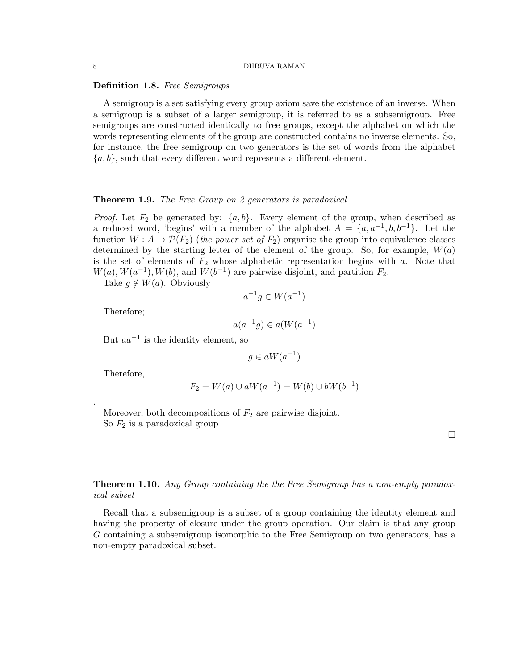## Definition 1.8. Free Semigroups

A semigroup is a set satisfying every group axiom save the existence of an inverse. When a semigroup is a subset of a larger semigroup, it is referred to as a subsemigroup. Free semigroups are constructed identically to free groups, except the alphabet on which the words representing elements of the group are constructed contains no inverse elements. So, for instance, the free semigroup on two generators is the set of words from the alphabet  ${a, b}$ , such that every different word represents a different element.

#### **Theorem 1.9.** The Free Group on 2 generators is paradoxical

*Proof.* Let  $F_2$  be generated by:  $\{a, b\}$ . Every element of the group, when described as a reduced word, 'begins' with a member of the alphabet  $A = \{a, a^{-1}, b, b^{-1}\}.$  Let the function  $W: A \to \mathcal{P}(F_2)$  (the power set of  $F_2$ ) organise the group into equivalence classes determined by the starting letter of the element of the group. So, for example,  $W(a)$ is the set of elements of  $F_2$  whose alphabetic representation begins with a. Note that  $W(a), W(a^{-1}), W(b),$  and  $W(b^{-1})$  are pairwise disjoint, and partition  $F_2$ .

Take  $q \notin W(a)$ . Obviously

$$
a^{-1}g \in W(a^{-1})
$$

Therefore;

$$
a(a^{-1}g) \in a(W(a^{-1})
$$

But  $aa^{-1}$  is the identity element, so

$$
g \in aW(a^{-1})
$$

Therefore,

.

$$
F_2 = W(a) \cup aW(a^{-1}) = W(b) \cup bW(b^{-1})
$$

Moreover, both decompositions of  $F_2$  are pairwise disjoint. So  $F_2$  is a paradoxical group

 $\Box$ 

# **Theorem 1.10.** Any Group containing the the Free Semigroup has a non-empty paradoxical subset

Recall that a subsemigroup is a subset of a group containing the identity element and having the property of closure under the group operation. Our claim is that any group G containing a subsemigroup isomorphic to the Free Semigroup on two generators, has a non-empty paradoxical subset.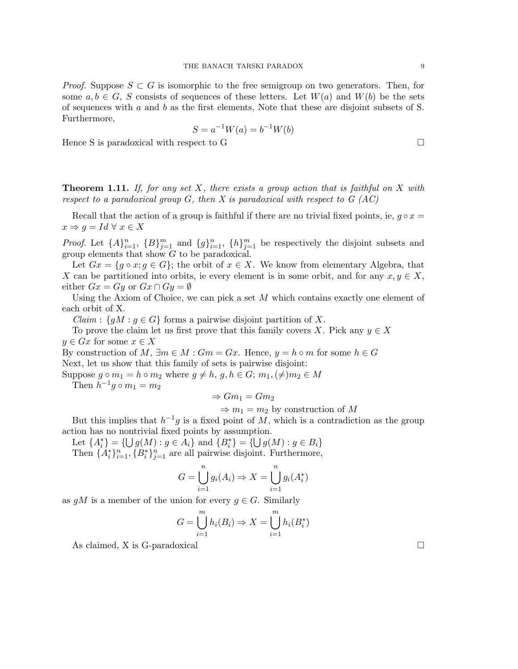*Proof.* Suppose  $S \subset G$  is isomorphic to the free semigroup on two generators. Then, for some  $a, b \in G$ , S consists of sequences of these letters. Let  $W(a)$  and  $W(b)$  be the sets of sequences with  $a$  and  $b$  as the first elements, Note that these are disjoint subsets of S. Furthermore,

$$
S = a^{-1}W(a) = b^{-1}W(b)
$$

Hence S is paradoxical with respect to G

**Theorem 1.11.** If, for any set X, there exists a group action that is faithful on X with respect to a paradoxical group  $G$ , then X is paradoxical with respect to  $G(AC)$ 

Recall that the action of a group is faithful if there are no trivial fixed points, ie,  $q \circ x =$  $x \Rightarrow q = Id \forall x \in X$ 

*Proof.* Let  $\{A\}_{i=1}^n$ ,  $\{B\}_{j=1}^m$  and  $\{g\}_{i=1}^n$ ,  $\{h\}_{j=1}^m$  be respectively the disjoint subsets and group elements that show G to be paradoxical.

Let  $Gx = \{g \circ x; g \in G\}$ ; the orbit of  $x \in X$ . We know from elementary Algebra, that X can be partitioned into orbits, ie every element is in some orbit, and for any  $x, y \in X$ , either  $Gx = Gy$  or  $Gx \cap Gy = \emptyset$ 

Using the Axiom of Choice, we can pick a set  $M$  which contains exactly one element of each orbit of X.

 $Claim: \{gM: g \in G\}$  forms a pairwise disjoint partition of X.

To prove the claim let us first prove that this family covers X. Pick any  $y \in X$  $y \in Gx$  for some  $x \in X$ 

By construction of M,  $\exists m \in M : Gm = Gx$ . Hence,  $y = h \circ m$  for some  $h \in G$ Next, let us show that this family of sets is pairwise disjoint:

Suppose  $g \circ m_1 = h \circ m_2$  where  $g \neq h$ ,  $g, h \in G$ ;  $m_1, (\neq) m_2 \in M$ Then  $h^{-1}g \circ m_1 = m_2$ 

$$
\Rightarrow Gm_1 = Gm_2
$$

$$
\Rightarrow
$$
  $m_1 = m_2$  by construction of M

But this implies that  $h^{-1}g$  is a fixed point of M, which is a contradiction as the group action has no nontrivial fixed points by assumption.

Let  ${A_i^*} = {\bigcup g(M) : g \in A_i}$  and  ${B_i^*} = {\bigcup g(M) : g \in B_i}$ 

Then  $\{A_i^*\}_{i=1}^n$ ,  $\{B_i^*\}_{j=1}^n$  are all pairwise disjoint. Furthermore,

$$
G = \bigcup_{i=1}^{n} g_i(A_i) \Rightarrow X = \bigcup_{i=1}^{n} g_i(A_i^*)
$$

as  $gM$  is a member of the union for every  $g \in G$ . Similarly

$$
G = \bigcup_{i=1}^{m} h_i(B_i) \Rightarrow X = \bigcup_{i=1}^{m} h_i(B_i^*)
$$

As claimed, X is G-paradoxical  $\Box$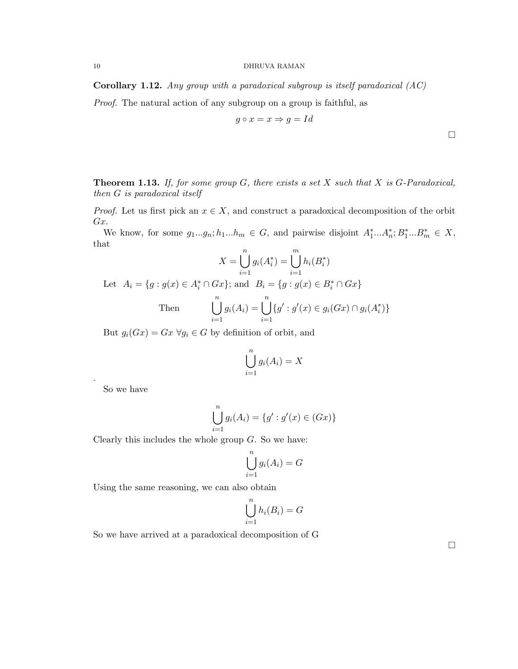**Corollary 1.12.** Any group with a paradoxical subgroup is itself paradoxical  $(AC)$ 

Proof. The natural action of any subgroup on a group is faithful, as

$$
g\circ x=x\Rightarrow g=Id
$$

 $\Box$ 

**Theorem 1.13.** If, for some group  $G$ , there exists a set  $X$  such that  $X$  is  $G$ -Paradoxical, then G is paradoxical itself

*Proof.* Let us first pick an  $x \in X$ , and construct a paradoxical decomposition of the orbit Gx.

We know, for some  $g_1...g_n; h_1...h_m \in G$ , and pairwise disjoint  $A_1^*...A_n^*; B_1^*...B_m^* \in X$ , that

$$
X = \bigcup_{i=1}^{n} g_i(A_i^*) = \bigcup_{i=1}^{m} h_i(B_i^*)
$$

Let  $A_i = \{g : g(x) \in A_i^* \cap Gx\}$ ; and  $B_i = \{g : g(x) \in B_i^* \cap Gx\}$ 

Then 
$$
\bigcup_{i=1}^{n} g_i(A_i) = \bigcup_{i=1}^{n} \{g' : g'(x) \in g_i(Gx) \cap g_i(A_i^*)\}
$$

But  $g_i(Gx) = Gx \,\forall g_i \in G$  by definition of orbit, and

$$
\bigcup_{i=1}^{n} g_i(A_i) = X
$$

So we have

.

$$
\bigcup_{i=1}^{n} g_i(A_i) = \{g' : g'(x) \in (Gx)\}\
$$

Clearly this includes the whole group  $G$ . So we have:

$$
\bigcup_{i=1}^{n} g_i(A_i) = G
$$

Using the same reasoning, we can also obtain

$$
\bigcup_{i=1}^{n} h_i(B_i) = G
$$

So we have arrived at a paradoxical decomposition of G

 $\Box$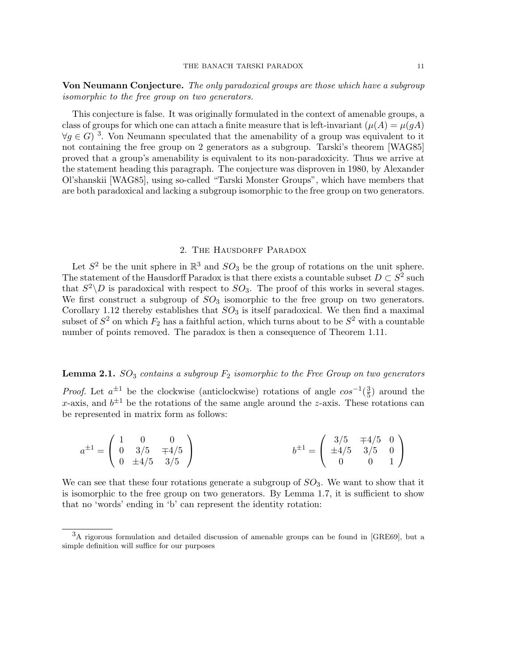Von Neumann Conjecture. The only paradoxical groups are those which have a subgroup isomorphic to the free group on two generators.

This conjecture is false. It was originally formulated in the context of amenable groups, a class of groups for which one can attach a finite measure that is left-invariant  $(\mu(A) = \mu(gA))$  $\forall g \in G$ <sup>3</sup>. Von Neumann speculated that the amenability of a group was equivalent to it not containing the free group on 2 generators as a subgroup. Tarski's theorem [WAG85] proved that a group's amenability is equivalent to its non-paradoxicity. Thus we arrive at the statement heading this paragraph. The conjecture was disproven in 1980, by Alexander Ol'shanskii [WAG85], using so-called "Tarski Monster Groups", which have members that are both paradoxical and lacking a subgroup isomorphic to the free group on two generators.

# 2. THE HAUSDORFF PARADOX

Let  $S^2$  be the unit sphere in  $\mathbb{R}^3$  and  $SO_3$  be the group of rotations on the unit sphere. The statement of the Hausdorff Paradox is that there exists a countable subset  $D \subset S^2$  such that  $S^2 \backslash D$  is paradoxical with respect to  $SO_3$ . The proof of this works in several stages. We first construct a subgroup of  $SO_3$  isomorphic to the free group on two generators. Corollary 1.12 thereby establishes that  $SO_3$  is itself paradoxical. We then find a maximal subset of  $S^2$  on which  $F_2$  has a faithful action, which turns about to be  $S^2$  with a countable number of points removed. The paradox is then a consequence of Theorem 1.11.

# **Lemma 2.1.**  $SO_3$  contains a subgroup  $F_2$  isomorphic to the Free Group on two generators

*Proof.* Let  $a^{\pm 1}$  be the clockwise (anticlockwise) rotations of angle  $\cos^{-1}(\frac{3}{5})$  $\frac{3}{5}$ ) around the x-axis, and  $b^{\pm 1}$  be the rotations of the same angle around the z-axis. These rotations can be represented in matrix form as follows:

$$
a^{\pm 1} = \begin{pmatrix} 1 & 0 & 0 \\ 0 & 3/5 & \mp 4/5 \\ 0 & \pm 4/5 & 3/5 \end{pmatrix} \qquad b^{\pm 1} = \begin{pmatrix} 3/5 & \mp 4/5 & 0 \\ \pm 4/5 & 3/5 & 0 \\ 0 & 0 & 1 \end{pmatrix}
$$

We can see that these four rotations generate a subgroup of  $SO_3$ . We want to show that it is isomorphic to the free group on two generators. By Lemma 1.7, it is sufficient to show that no 'words' ending in 'b' can represent the identity rotation:

 $3A$  rigorous formulation and detailed discussion of amenable groups can be found in [GRE69], but a simple definition will suffice for our purposes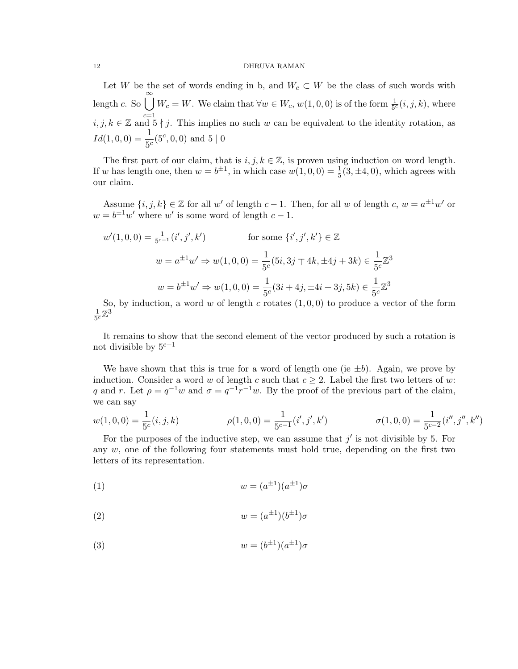Let W be the set of words ending in b, and  $W_c \subset W$  be the class of such words with length c. So  $\bigcup^{\infty} W_c = W$ . We claim that  $\forall w \in W_c$ ,  $w(1,0,0)$  is of the form  $\frac{1}{5^c}(i,j,k)$ , where  $i, j, k \in \mathbb{Z}$  and  $5 \nmid j$ . This implies no such w can be equivalent to the identity rotation, as  $Id(1,0,0) = \frac{1}{5^c}(5^c,0,0)$  and  $5 | 0$ 

The first part of our claim, that is  $i, j, k \in \mathbb{Z}$ , is proven using induction on word length. If w has length one, then  $w = b^{\pm 1}$ , in which case  $w(1, 0, 0) = \frac{1}{5}(3, \pm 4, 0)$ , which agrees with our claim.

Assume  $\{i, j, k\} \in \mathbb{Z}$  for all w' of length  $c - 1$ . Then, for all w of length  $c, w = a^{\pm 1}w'$  or  $w = b^{\pm 1} w'$  where w' is some word of length  $c - 1$ .

$$
w'(1,0,0) = \frac{1}{5^{c-1}}(i',j',k')
$$
 for some  $\{i',j',k'\} \in \mathbb{Z}$   

$$
w = a^{\pm 1}w' \Rightarrow w(1,0,0) = \frac{1}{5^c}(5i,3j \mp 4k, \pm 4j + 3k) \in \frac{1}{5^c}\mathbb{Z}^3
$$
  

$$
w = b^{\pm 1}w' \Rightarrow w(1,0,0) = \frac{1}{5^c}(3i + 4j, \pm 4i + 3j, 5k) \in \frac{1}{5^c}\mathbb{Z}^3
$$

So, by induction, a word w of length c rotates  $(1, 0, 0)$  to produce a vector of the form 1  $\frac{1}{5c}\mathbb{Z}^3$ 

It remains to show that the second element of the vector produced by such a rotation is not divisible by  $5^{c+1}$ 

We have shown that this is true for a word of length one (ie  $\pm b$ ). Again, we prove by induction. Consider a word w of length c such that  $c \geq 2$ . Label the first two letters of w: q and r. Let  $\rho = q^{-1}w$  and  $\sigma = q^{-1}r^{-1}w$ . By the proof of the previous part of the claim, we can say

$$
w(1,0,0) = \frac{1}{5^c}(i,j,k) \qquad \rho(1,0,0) = \frac{1}{5^{c-1}}(i',j',k') \qquad \sigma(1,0,0) = \frac{1}{5^{c-2}}(i'',j'',k'')
$$

For the purposes of the inductive step, we can assume that  $j'$  is not divisible by 5. For any  $w$ , one of the following four statements must hold true, depending on the first two letters of its representation.

$$
(1) \t\t w = (a^{\pm 1})(a^{\pm 1})\sigma
$$

$$
(2) \t\t w = (a^{\pm 1})(b^{\pm 1})\sigma
$$

$$
(3) \t\t w = (b^{\pm 1})(a^{\pm 1})\sigma
$$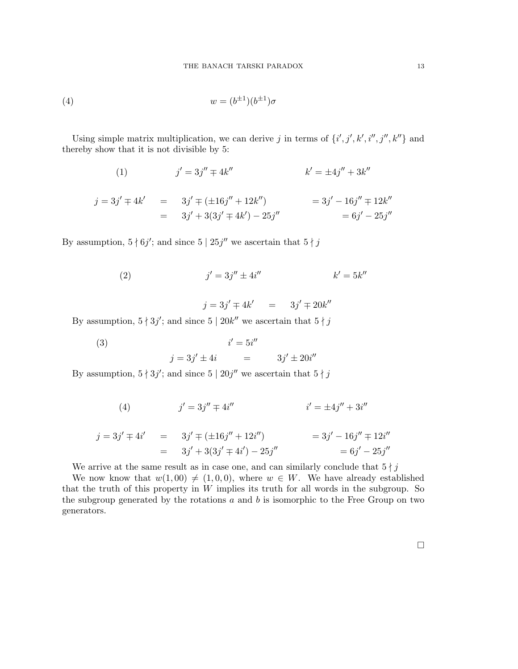(4) 
$$
w = (b^{\pm 1})(b^{\pm 1})\sigma
$$

Using simple matrix multiplication, we can derive j in terms of  $\{i', j', k', i'', j'', k''\}$  and thereby show that it is not divisible by 5:

(1) 
$$
j' = 3j'' \mp 4k''
$$
  $k' = \pm 4j'' + 3k''$ 

$$
j = 3j' \mp 4k' = 3j' \mp (\pm 16j'' + 12k'') = 3j' - 16j'' \mp 12k''
$$
  
= 3j' + 3(3j' \mp 4k') - 25j'' = 6j' - 25j''

By assumption,  $5 \nmid 6j'$ ; and since  $5 \nmid 25j''$  we ascertain that  $5 \nmid j$ 

(2) 
$$
j' = 3j'' \pm 4i'' \qquad k' = 5k''
$$

 $j = 3j' \mp 4k'$  =  $3j' \mp 20k''$ 

By assumption,  $5 \nmid 3j'$ ; and since  $5 \nmid 20k''$  we ascertain that  $5 \nmid j$ 

(3) 
$$
i' = 5i''
$$
  
\n $j = 3j' \pm 4i$  =  $3j' \pm 20i''$ 

By assumption,  $5 \nmid 3j'$ ; and since  $5 \nmid 20j''$  we ascertain that  $5 \nmid j$ 

(4) 
$$
j' = 3j'' \mp 4i''
$$
 
$$
i' = \pm 4j'' + 3i''
$$

$$
j = 3j' \mp 4i' = 3j' \mp (\pm 16j'' + 12i'') = 3j' - 16j'' \mp 12i''
$$
  
= 3j' + 3(3j' \mp 4i') - 25j'' = 6j' - 25j''

We arrive at the same result as in case one, and can similarly conclude that  $5 \nmid j$ 

We now know that  $w(1, 00) \neq (1, 0, 0)$ , where  $w \in W$ . We have already established that the truth of this property in  $W$  implies its truth for all words in the subgroup. So the subgroup generated by the rotations  $a$  and  $b$  is isomorphic to the Free Group on two generators.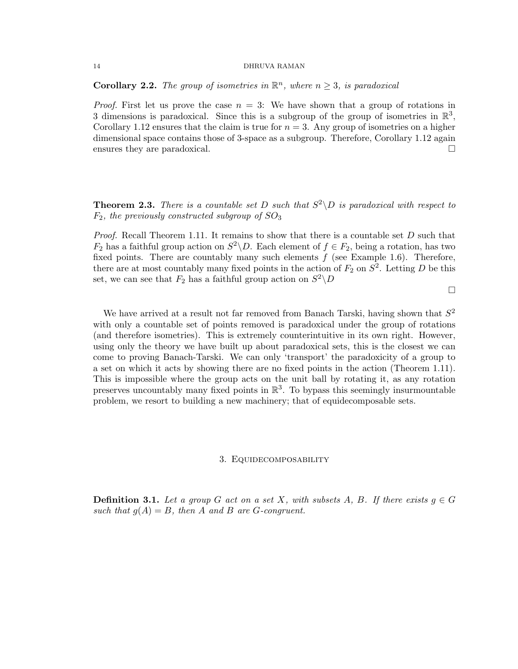**Corollary 2.2.** The group of isometries in  $\mathbb{R}^n$ , where  $n \geq 3$ , is paradoxical

*Proof.* First let us prove the case  $n = 3$ : We have shown that a group of rotations in 3 dimensions is paradoxical. Since this is a subgroup of the group of isometries in  $\mathbb{R}^3$ , Corollary 1.12 ensures that the claim is true for  $n = 3$ . Any group of isometries on a higher dimensional space contains those of 3-space as a subgroup. Therefore, Corollary 1.12 again ensures they are paradoxical.

**Theorem 2.3.** There is a countable set D such that  $S^2 \backslash D$  is paradoxical with respect to  $F_2$ , the previously constructed subgroup of  $SO_3$ 

*Proof.* Recall Theorem 1.11. It remains to show that there is a countable set  $D$  such that  $F_2$  has a faithful group action on  $S^2 \backslash D$ . Each element of  $f \in F_2$ , being a rotation, has two fixed points. There are countably many such elements  $f$  (see Example 1.6). Therefore, there are at most countably many fixed points in the action of  $F_2$  on  $S^2$ . Letting D be this set, we can see that  $F_2$  has a faithful group action on  $S^2 \backslash D$ 

 $\Box$ 

We have arrived at a result not far removed from Banach Tarski, having shown that  $S^2$ with only a countable set of points removed is paradoxical under the group of rotations (and therefore isometries). This is extremely counterintuitive in its own right. However, using only the theory we have built up about paradoxical sets, this is the closest we can come to proving Banach-Tarski. We can only 'transport' the paradoxicity of a group to a set on which it acts by showing there are no fixed points in the action (Theorem 1.11). This is impossible where the group acts on the unit ball by rotating it, as any rotation preserves uncountably many fixed points in  $\mathbb{R}^3$ . To bypass this seemingly insurmountable problem, we resort to building a new machinery; that of equidecomposable sets.

#### 3. Equidecomposability

**Definition 3.1.** Let a group G act on a set X, with subsets A, B. If there exists  $g \in G$ such that  $g(A) = B$ , then A and B are G-congruent.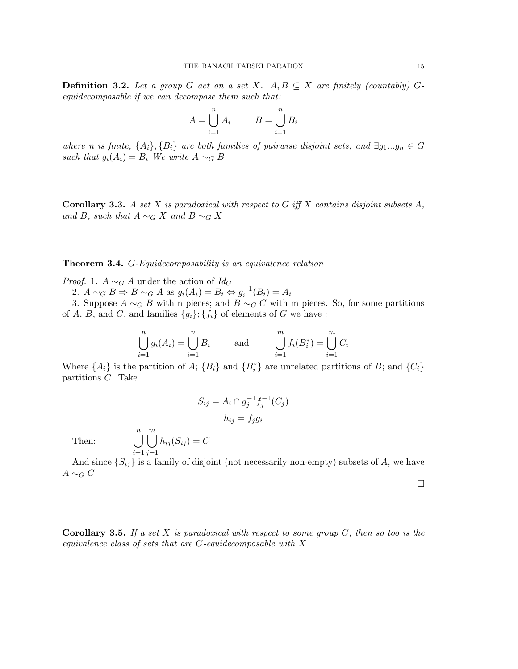**Definition 3.2.** Let a group G act on a set X.  $A, B \subseteq X$  are finitely (countably) Gequidecomposable if we can decompose them such that:

$$
A = \bigcup_{i=1}^{n} A_i \qquad \quad B = \bigcup_{i=1}^{n} B_i
$$

 $\boldsymbol{n}$ 

 $\boldsymbol{n}$ 

where n is finite,  $\{A_i\}$ ,  $\{B_i\}$  are both families of pairwise disjoint sets, and  $\exists g_1...g_n \in G$ such that  $g_i(A_i) = B_i$  We write  $A \sim_G B$ 

**Corollary 3.3.** A set X is paradoxical with respect to G iff X contains disjoint subsets  $A$ , and B, such that  $A \sim_G X$  and  $B \sim_G X$ 

Theorem 3.4. G-Equidecomposability is an equivalence relation

*Proof.* 1.  $A \sim_G A$  under the action of  $Id_G$ 

2.  $A \sim_G B \Rightarrow B \sim_G A$  as  $g_i(A_i) = B_i \Leftrightarrow g_i^{-1}(B_i) = A_i$ 

3. Suppose  $A \sim_G B$  with n pieces; and  $B \sim_G C$  with m pieces. So, for some partitions of A, B, and C, and families  $\{g_i\}$ ;  $\{f_i\}$  of elements of G we have :

$$
\bigcup_{i=1}^{n} g_i(A_i) = \bigcup_{i=1}^{n} B_i \quad \text{and} \quad \bigcup_{i=1}^{m} f_i(B_i^*) = \bigcup_{i=1}^{m} C_i
$$

Where  $\{A_i\}$  is the partition of  $A$ ;  $\{B_i\}$  and  $\{B_i^*\}$  are unrelated partitions of  $B$ ; and  $\{C_i\}$ partitions C. Take

$$
S_{ij} = A_i \cap g_j^{-1} f_j^{-1} (C_j)
$$

$$
h_{ij} = f_j g_i
$$

Then:  $\begin{bmatrix} n \\ n \end{bmatrix}$  $i=1$  $\binom{m}{k}$  $j=1$  $h_{ij}(S_{ij})=C$ 

And since  $\{S_{ij}\}\$ is a family of disjoint (not necessarily non-empty) subsets of A, we have  $A \sim_G C$ 

 $\Box$ 

**Corollary 3.5.** If a set X is paradoxical with respect to some group  $G$ , then so too is the equivalence class of sets that are G-equidecomposable with X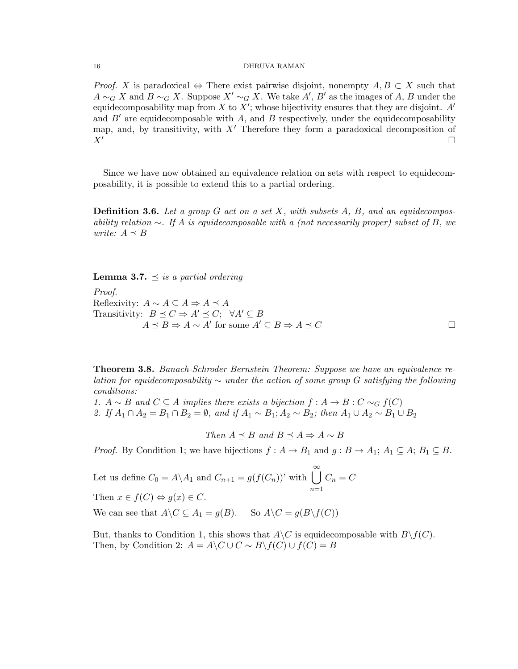*Proof.* X is paradoxical  $\Leftrightarrow$  There exist pairwise disjoint, nonempty  $A, B \subset X$  such that  $A \sim_G X$  and  $B \sim_G X$ . Suppose  $X' \sim_G X$ . We take  $A', B'$  as the images of A, B under the equidecomposability map from X to  $X'$ ; whose bijectivity ensures that they are disjoint. A' and  $B'$  are equidecomposable with A, and B respectively, under the equidecomposability map, and, by transitivity, with  $X'$  Therefore they form a paradoxical decomposition of  $X'$ 

Since we have now obtained an equivalence relation on sets with respect to equidecomposability, it is possible to extend this to a partial ordering.

**Definition 3.6.** Let a group  $G$  act on a set  $X$ , with subsets  $A$ ,  $B$ , and an equidecomposability relation  $\sim$ . If A is equidecomposable with a (not necessarily proper) subset of B, we write:  $A \prec B$ 

**Lemma 3.7.**  $\preceq$  is a partial ordering

Proof. Reflexivity:  $A \sim A \subseteq A \Rightarrow A \prec A$ Transitivity:  $B \preceq C \Rightarrow A' \preceq C$ ;  $\forall A' \subseteq B$  $A \preceq B \Rightarrow A \sim A'$  for some  $A' \subseteq B \Rightarrow A \preceq C$ 

Theorem 3.8. Banach-Schroder Bernstein Theorem: Suppose we have an equivalence relation for equidecomposability  $\sim$  under the action of some group G satisfying the following conditions:

1.  $A \sim B$  and  $C \subseteq A$  implies there exists a bijection  $f : A \to B : C \sim_G f(C)$ 2. If  $A_1 \cap A_2 = B_1 \cap B_2 = \emptyset$ , and if  $A_1 \sim B_1$ ;  $A_2 \sim B_2$ ; then  $A_1 \cup A_2 \sim B_1 \cup B_2$ 

Then  $A \preceq B$  and  $B \preceq A \Rightarrow A \sim B$ 

*Proof.* By Condition 1; we have bijections  $f : A \to B_1$  and  $g : B \to A_1; A_1 \subseteq A; B_1 \subseteq B$ .

Let us define  $C_0 = A \backslash A_1$  and  $C_{n+1} = g(f(C_n))'$  with  $\bigcup_{n=1}^{\infty}$  $n=1$  $C_n = C$ 

Then  $x \in f(C) \Leftrightarrow g(x) \in C$ .

We can see that  $A \backslash C \subseteq A_1 = q(B)$ . So  $A \backslash C = q(B \backslash f(C))$ 

But, thanks to Condition 1, this shows that  $A\setminus C$  is equidecomposable with  $B\setminus f(C)$ . Then, by Condition 2:  $A = A \ C \cup C \sim B \backslash f(C) \cup f(C) = B$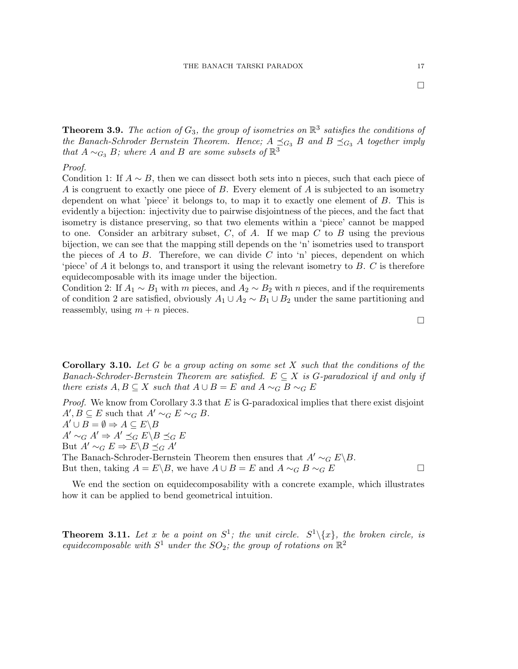**Theorem 3.9.** The action of  $G_3$ , the group of isometries on  $\mathbb{R}^3$  satisfies the conditions of the Banach-Schroder Bernstein Theorem. Hence;  $A \preceq_{G_3} B$  and  $B \preceq_{G_3} A$  together imply that  $A \sim_{G_3} B$ ; where A and B are some subsets of  $\mathbb{R}^3$ 

# Proof.

Condition 1: If  $A \sim B$ , then we can dissect both sets into n pieces, such that each piece of A is congruent to exactly one piece of  $B$ . Every element of  $A$  is subjected to an isometry dependent on what 'piece' it belongs to, to map it to exactly one element of B. This is evidently a bijection: injectivity due to pairwise disjointness of the pieces, and the fact that isometry is distance preserving, so that two elements within a 'piece' cannot be mapped to one. Consider an arbitrary subset,  $C$ , of  $A$ . If we map  $C$  to  $B$  using the previous bijection, we can see that the mapping still depends on the 'n' isometries used to transport the pieces of  $A$  to  $B$ . Therefore, we can divide  $C$  into 'n' pieces, dependent on which 'piece' of A it belongs to, and transport it using the relevant isometry to  $B$ .  $C$  is therefore equidecomposable with its image under the bijection.

Condition 2: If  $A_1 \sim B_1$  with m pieces, and  $A_2 \sim B_2$  with n pieces, and if the requirements of condition 2 are satisfied, obviously  $A_1 \cup A_2 \sim B_1 \cup B_2$  under the same partitioning and reassembly, using  $m + n$  pieces.

**Corollary 3.10.** Let G be a group acting on some set X such that the conditions of the Banach-Schroder-Bernstein Theorem are satisfied.  $E \subseteq X$  is G-paradoxical if and only if there exists  $A, B \subseteq X$  such that  $A \cup B = E$  and  $A \sim_G B \sim_G E$ 

*Proof.* We know from Corollary 3.3 that  $E$  is G-paradoxical implies that there exist disjoint  $A', B \subseteq E$  such that  $A' \sim_G E \sim_G B$ .  $A' \cup B = \emptyset \Rightarrow A \subseteq E \backslash B$  $A' \sim_G A' \Rightarrow A' \preceq_G E \backslash B \preceq_G E$ But  $A' \sim_G E \Rightarrow E \backslash B \preceq_G A'$ The Banach-Schroder-Bernstein Theorem then ensures that  $A' \sim_G E\backslash B$ . But then, taking  $A = E\backslash B$ , we have  $A \cup B = E$  and  $A \sim_G B \sim_G E$ 

We end the section on equidecomposability with a concrete example, which illustrates how it can be applied to bend geometrical intuition.

**Theorem 3.11.** Let x be a point on  $S^1$ ; the unit circle.  $S^1 \setminus \{x\}$ , the broken circle, is equidecomposable with  $S^1$  under the  $SO_2$ ; the group of rotations on  $\mathbb{R}^2$ 

 $\Box$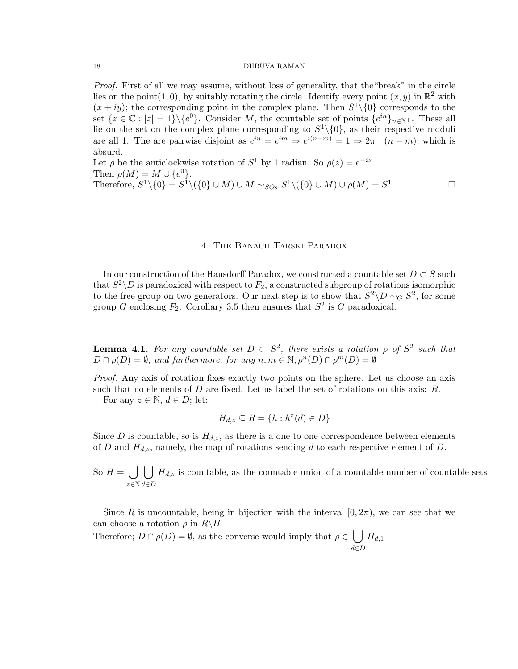Proof. First of all we may assume, without loss of generality, that the "break" in the circle lies on the point  $(1,0)$ , by suitably rotating the circle. Identify every point  $(x, y)$  in  $\mathbb{R}^2$  with  $(x+iy)$ ; the corresponding point in the complex plane. Then  $S^1\setminus\{0\}$  corresponds to the set  $\{z \in \mathbb{C} : |z| = 1\} \setminus \{e^0\}$ . Consider M, the countable set of points  $\{e^{in}\}_{n\in\mathbb{N}^+}$ . These all lie on the set on the complex plane corresponding to  $S^1\setminus\{0\}$ , as their respective moduli are all 1. The are pairwise disjoint as  $e^{in} = e^{im} \Rightarrow e^{i(n-m)} = 1 \Rightarrow 2\pi \mid (n-m)$ , which is absurd.

Let  $\rho$  be the anticlockwise rotation of  $S^1$  by 1 radian. So  $\rho(z) = e^{-iz}$ . Then  $\rho(M) = M \cup \{e^0\}.$ Therefore,  $S^1 \setminus \{0\} = S^1 \setminus (\{0\} \cup M) \cup M \sim_{SO_2} S^1 \setminus (\{0\} \cup M) \cup \rho(M) = S$  $1 \qquad \qquad$ 

## 4. The Banach Tarski Paradox

In our construction of the Hausdorff Paradox, we constructed a countable set  $D \subset S$  such that  $S^2 \backslash D$  is paradoxical with respect to  $F_2$ , a constructed subgroup of rotations isomorphic to the free group on two generators. Our next step is to show that  $S^2 \backslash D \sim_G S^2$ , for some group G enclosing  $F_2$ . Corollary 3.5 then ensures that  $S^2$  is G paradoxical.

**Lemma 4.1.** For any countable set  $D \subset S^2$ , there exists a rotation  $\rho$  of  $S^2$  such that  $D \cap \rho(D) = \emptyset$ , and furthermore, for any  $n, m \in \mathbb{N}; \rho^n(D) \cap \rho^m(D) = \emptyset$ 

Proof. Any axis of rotation fixes exactly two points on the sphere. Let us choose an axis such that no elements of  $D$  are fixed. Let us label the set of rotations on this axis:  $R$ .

For any  $z \in \mathbb{N}$ ,  $d \in D$ ; let:

$$
H_{d,z} \subseteq R = \{ h : h^z(d) \in D \}
$$

Since D is countable, so is  $H_{d,z}$ , as there is a one to one correspondence between elements of D and  $H_{d,z}$ , namely, the map of rotations sending d to each respective element of D.

So  $H = \begin{bmatrix} \end{bmatrix}$ z∈N  $\mathsf{L}$ d∈D  $H_{d,z}$  is countable, as the countable union of a countable number of countable sets

Since R is uncountable, being in bijection with the interval  $[0, 2\pi)$ , we can see that we can choose a rotation  $\rho$  in  $R\backslash H$ 

Therefore;  $D \cap \rho(D) = \emptyset$ , as the converse would imply that  $\rho \in \mathcal{U}$   $H_{d,1}$ d∈D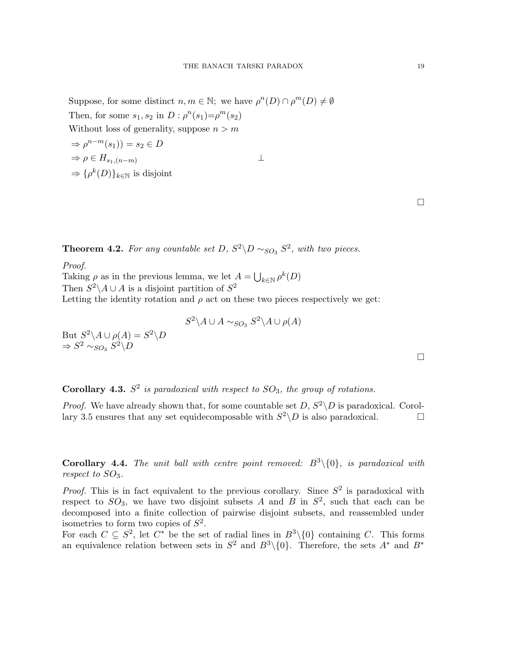Suppose, for some distinct  $n, m \in \mathbb{N}$ ; we have  $\rho^n(D) \cap \rho^m(D) \neq \emptyset$ Then, for some  $s_1, s_2$  in  $D : \rho^n(s_1) = \rho^m(s_2)$ Without loss of generality, suppose  $n > m$ 

$$
\Rightarrow \rho^{n-m}(s_1)) = s_2 \in D
$$
  
\n
$$
\Rightarrow \rho \in H_{s_1,(n-m)}
$$
  
\n
$$
\Rightarrow {\rho^k(D)}_{k \in \mathbb{N}}
$$
 is disjoint

**Theorem 4.2.** For any countable set D,  $S^2 \backslash D \sim_{SO_3} S^2$ , with two pieces.

Proof.

Taking  $\rho$  as in the previous lemma, we let  $A = \bigcup_{k \in \mathbb{N}} \rho^k(D)$ Then  $S^2 \backslash A \cup A$  is a disjoint partition of  $S^2$ 

Letting the identity rotation and  $\rho$  act on these two pieces respectively we get:

$$
S^2 \backslash A \cup A \sim_{SO_3} S^2 \backslash A \cup \rho(A)
$$

But  $S^2 \backslash A \cup \rho(A) = S^2 \backslash D$  $\Rightarrow S^2 \sim_{SO_3} S^2 \backslash D$ 

**Corollary 4.3.**  $S^2$  is paradoxical with respect to  $SO_3$ , the group of rotations.

*Proof.* We have already shown that, for some countable set  $D, S^2 \backslash D$  is paradoxical. Corollary 3.5 ensures that any set equidecomposable with  $S^2 \backslash D$  is also paradoxical.

**Corollary 4.4.** The unit ball with centre point removed:  $B^3\setminus\{0\}$ , is paradoxical with respect to  $SO_3$ .

*Proof.* This is in fact equivalent to the previous corollary. Since  $S^2$  is paradoxical with respect to  $SO_3$ , we have two disjoint subsets A and B in  $S^2$ , such that each can be decomposed into a finite collection of pairwise disjoint subsets, and reassembled under isometries to form two copies of  $S^2$ .

For each  $C \subseteq S^2$ , let  $C^*$  be the set of radial lines in  $B^3\setminus\{0\}$  containing C. This forms an equivalence relation between sets in  $S^2$  and  $B^3\setminus\{0\}$ . Therefore, the sets  $A^*$  and  $B^*$ 

 $\Box$ 

 $\Box$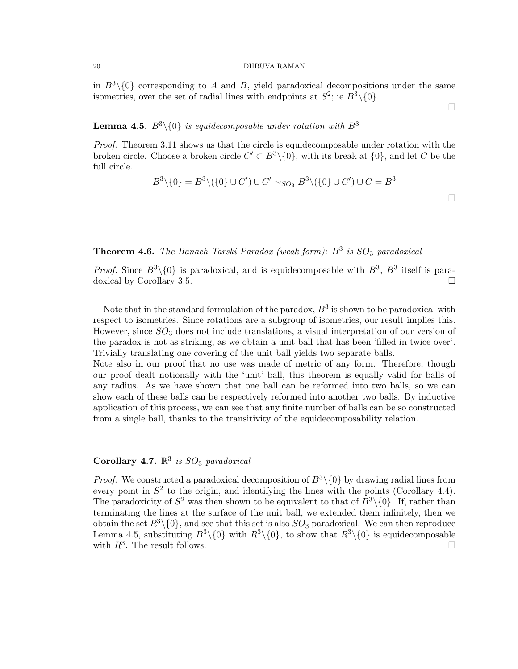in  $B^3\setminus\{0\}$  corresponding to A and B, yield paradoxical decompositions under the same isometries, over the set of radial lines with endpoints at  $S^2$ ; ie  $B^3\setminus\{0\}$ .

**Lemma 4.5.**  $B^3 \setminus \{0\}$  is equidecomposable under rotation with  $B^3$ 

Proof. Theorem 3.11 shows us that the circle is equidecomposable under rotation with the broken circle. Choose a broken circle  $C' \subset B^3 \setminus \{0\}$ , with its break at  $\{0\}$ , and let C be the full circle.

$$
B^3 \setminus \{0\} = B^3 \setminus (\{0\} \cup C') \cup C' \sim_{SO_3} B^3 \setminus (\{0\} \cup C') \cup C = B^3
$$

 $\Box$ 

# **Theorem 4.6.** The Banach Tarski Paradox (weak form):  $B^3$  is  $SO_3$  paradoxical

*Proof.* Since  $B^3 \setminus \{0\}$  is paradoxical, and is equidecomposable with  $B^3$ ,  $B^3$  itself is paradoxical by Corollary 3.5.

Note that in the standard formulation of the paradox,  $B^3$  is shown to be paradoxical with respect to isometries. Since rotations are a subgroup of isometries, our result implies this. However, since  $SO_3$  does not include translations, a visual interpretation of our version of the paradox is not as striking, as we obtain a unit ball that has been 'filled in twice over'. Trivially translating one covering of the unit ball yields two separate balls.

Note also in our proof that no use was made of metric of any form. Therefore, though our proof dealt notionally with the 'unit' ball, this theorem is equally valid for balls of any radius. As we have shown that one ball can be reformed into two balls, so we can show each of these balls can be respectively reformed into another two balls. By inductive application of this process, we can see that any finite number of balls can be so constructed from a single ball, thanks to the transitivity of the equidecomposability relation.

# Corollary 4.7.  $\mathbb{R}^3$  is  $SO_3$  paradoxical

*Proof.* We constructed a paradoxical decomposition of  $B^3\setminus\{0\}$  by drawing radial lines from every point in  $S<sup>2</sup>$  to the origin, and identifying the lines with the points (Corollary 4.4). The paradoxicity of  $S^2$  was then shown to be equivalent to that of  $B^3\setminus\{0\}$ . If, rather than terminating the lines at the surface of the unit ball, we extended them infinitely, then we obtain the set  $R^3 \setminus \{0\}$ , and see that this set is also  $SO_3$  paradoxical. We can then reproduce Lemma 4.5, substituting  $B^3\setminus\{0\}$  with  $R^3\setminus\{0\}$ , to show that  $R^3\setminus\{0\}$  is equidecomposable with  $R^3$ . The result follows.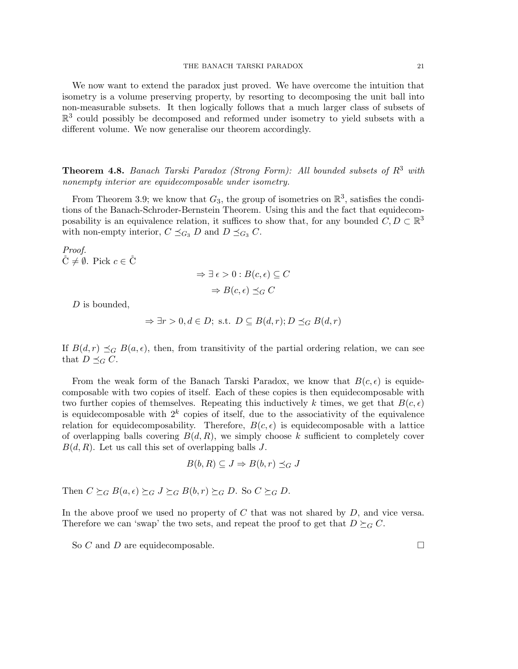We now want to extend the paradox just proved. We have overcome the intuition that isometry is a volume preserving property, by resorting to decomposing the unit ball into non-measurable subsets. It then logically follows that a much larger class of subsets of  $\mathbb{R}^3$  could possibly be decomposed and reformed under isometry to yield subsets with a different volume. We now generalise our theorem accordingly.

**Theorem 4.8.** Banach Tarski Paradox (Strong Form): All bounded subsets of  $R^3$  with nonempty interior are equidecomposable under isometry.

From Theorem 3.9; we know that  $G_3$ , the group of isometries on  $\mathbb{R}^3$ , satisfies the conditions of the Banach-Schroder-Bernstein Theorem. Using this and the fact that equidecomposability is an equivalence relation, it suffices to show that, for any bounded  $C, D \subset \mathbb{R}^3$ with non-empty interior,  $C \preceq_{G_3} D$  and  $D \preceq_{G_3} C$ .

Proof.  $\check{C} \neq \emptyset$ . Pick  $c \in \check{C}$ 

$$
\Rightarrow \exists \epsilon > 0 : B(c, \epsilon) \subseteq C
$$

$$
\Rightarrow B(c, \epsilon) \preceq_G C
$$

D is bounded,

$$
\Rightarrow \exists r > 0, d \in D; \text{ s.t. } D \subseteq B(d, r); D \preceq_G B(d, r)
$$

If  $B(d, r) \preceq_G B(a, \epsilon)$ , then, from transitivity of the partial ordering relation, we can see that  $D \preceq_G C$ .

From the weak form of the Banach Tarski Paradox, we know that  $B(c, \epsilon)$  is equidecomposable with two copies of itself. Each of these copies is then equidecomposable with two further copies of themselves. Repeating this inductively k times, we get that  $B(c, \epsilon)$ is equidecomposable with  $2^k$  copies of itself, due to the associativity of the equivalence relation for equidecomposability. Therefore,  $B(c, \epsilon)$  is equidecomposable with a lattice of overlapping balls covering  $B(d, R)$ , we simply choose k sufficient to completely cover  $B(d, R)$ . Let us call this set of overlapping balls J.

$$
B(b, R) \subseteq J \Rightarrow B(b, r) \preceq_G J
$$

Then  $C \succeq_G B(a, \epsilon) \succeq_G J \succeq_G B(b, r) \succeq_G D$ . So  $C \succeq_G D$ .

In the above proof we used no property of  $C$  that was not shared by  $D$ , and vice versa. Therefore we can 'swap' the two sets, and repeat the proof to get that  $D \succeq_G C$ .

So C and D are equidecomposable.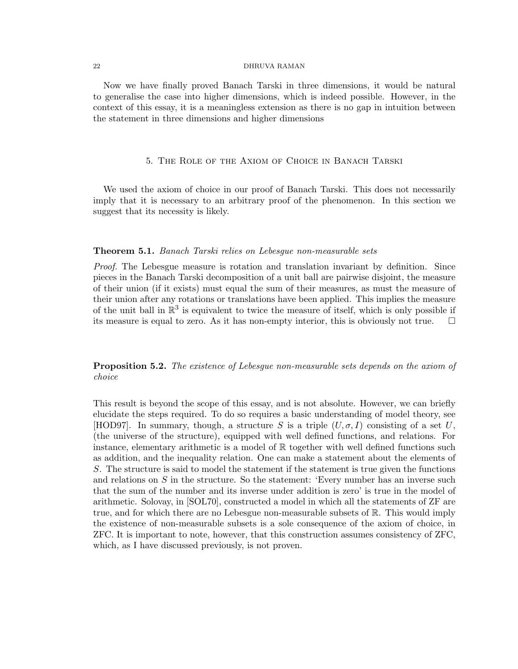Now we have finally proved Banach Tarski in three dimensions, it would be natural to generalise the case into higher dimensions, which is indeed possible. However, in the context of this essay, it is a meaningless extension as there is no gap in intuition between the statement in three dimensions and higher dimensions

### 5. The Role of the Axiom of Choice in Banach Tarski

We used the axiom of choice in our proof of Banach Tarski. This does not necessarily imply that it is necessary to an arbitrary proof of the phenomenon. In this section we suggest that its necessity is likely.

#### Theorem 5.1. Banach Tarski relies on Lebesgue non-measurable sets

Proof. The Lebesgue measure is rotation and translation invariant by definition. Since pieces in the Banach Tarski decomposition of a unit ball are pairwise disjoint, the measure of their union (if it exists) must equal the sum of their measures, as must the measure of their union after any rotations or translations have been applied. This implies the measure of the unit ball in  $\mathbb{R}^3$  is equivalent to twice the measure of itself, which is only possible if its measure is equal to zero. As it has non-empty interior, this is obviously not true.  $\Box$ 

# **Proposition 5.2.** The existence of Lebesgue non-measurable sets depends on the axiom of choice

This result is beyond the scope of this essay, and is not absolute. However, we can briefly elucidate the steps required. To do so requires a basic understanding of model theory, see [HOD97]. In summary, though, a structure S is a triple  $(U, \sigma, I)$  consisting of a set U, (the universe of the structure), equipped with well defined functions, and relations. For instance, elementary arithmetic is a model of  $\mathbb R$  together with well defined functions such as addition, and the inequality relation. One can make a statement about the elements of S. The structure is said to model the statement if the statement is true given the functions and relations on  $S$  in the structure. So the statement: 'Every number has an inverse such that the sum of the number and its inverse under addition is zero' is true in the model of arithmetic. Solovay, in [SOL70], constructed a model in which all the statements of ZF are true, and for which there are no Lebesgue non-measurable subsets of R. This would imply the existence of non-measurable subsets is a sole consequence of the axiom of choice, in ZFC. It is important to note, however, that this construction assumes consistency of ZFC, which, as I have discussed previously, is not proven.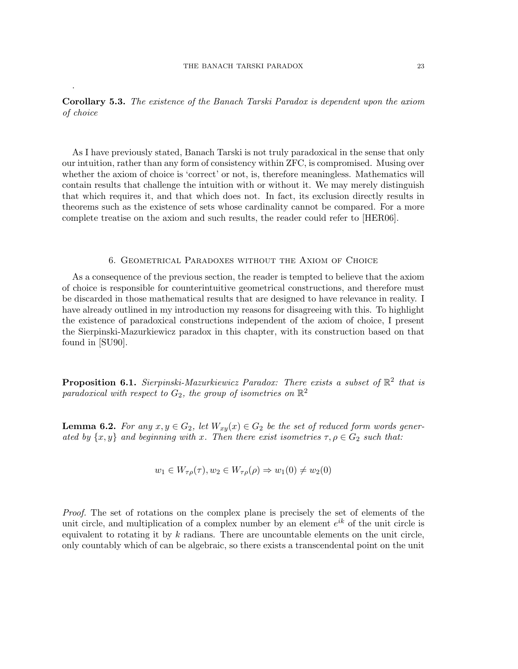.

Corollary 5.3. The existence of the Banach Tarski Paradox is dependent upon the axiom of choice

As I have previously stated, Banach Tarski is not truly paradoxical in the sense that only our intuition, rather than any form of consistency within ZFC, is compromised. Musing over whether the axiom of choice is 'correct' or not, is, therefore meaningless. Mathematics will contain results that challenge the intuition with or without it. We may merely distinguish that which requires it, and that which does not. In fact, its exclusion directly results in theorems such as the existence of sets whose cardinality cannot be compared. For a more complete treatise on the axiom and such results, the reader could refer to [HER06].

#### 6. Geometrical Paradoxes without the Axiom of Choice

As a consequence of the previous section, the reader is tempted to believe that the axiom of choice is responsible for counterintuitive geometrical constructions, and therefore must be discarded in those mathematical results that are designed to have relevance in reality. I have already outlined in my introduction my reasons for disagreeing with this. To highlight the existence of paradoxical constructions independent of the axiom of choice, I present the Sierpinski-Mazurkiewicz paradox in this chapter, with its construction based on that found in [SU90].

**Proposition 6.1.** Sierpinski-Mazurkiewicz Paradox: There exists a subset of  $\mathbb{R}^2$  that is paradoxical with respect to  $G_2$ , the group of isometries on  $\mathbb{R}^2$ 

**Lemma 6.2.** For any  $x, y \in G_2$ , let  $W_{xy}(x) \in G_2$  be the set of reduced form words generated by  $\{x, y\}$  and beginning with x. Then there exist isometries  $\tau, \rho \in G_2$  such that:

$$
w_1 \in W_{\tau\rho}(\tau), w_2 \in W_{\tau\rho}(\rho) \Rightarrow w_1(0) \neq w_2(0)
$$

Proof. The set of rotations on the complex plane is precisely the set of elements of the unit circle, and multiplication of a complex number by an element  $e^{ik}$  of the unit circle is equivalent to rotating it by  $k$  radians. There are uncountable elements on the unit circle, only countably which of can be algebraic, so there exists a transcendental point on the unit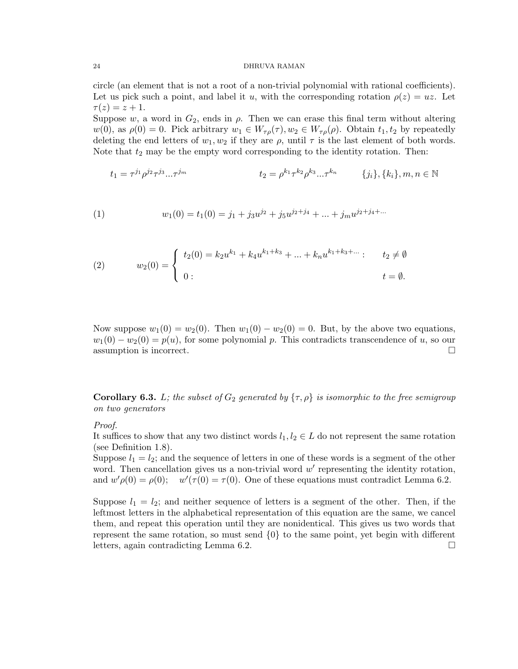circle (an element that is not a root of a non-trivial polynomial with rational coefficients). Let us pick such a point, and label it u, with the corresponding rotation  $\rho(z) = uz$ . Let  $\tau(z) = z + 1.$ 

Suppose w, a word in  $G_2$ , ends in  $\rho$ . Then we can erase this final term without altering  $w(0)$ , as  $\rho(0) = 0$ . Pick arbitrary  $w_1 \in W_{\tau\rho}(\tau)$ ,  $w_2 \in W_{\tau\rho}(\rho)$ . Obtain  $t_1, t_2$  by repeatedly deleting the end letters of  $w_1, w_2$  if they are  $\rho$ , until  $\tau$  is the last element of both words. Note that  $t_2$  may be the empty word corresponding to the identity rotation. Then:

$$
t_1 = \tau^{j_1} \rho^{j_2} \tau^{j_3} \dots \tau^{j_m} \qquad t_2 = \rho^{k_1} \tau^{k_2} \rho^{k_3} \dots \tau^{k_n} \qquad \{j_i\}, \{k_i\}, m, n \in \mathbb{N}
$$

(1) 
$$
w_1(0) = t_1(0) = j_1 + j_3 u^{j_2} + j_5 u^{j_2 + j_4} + \dots + j_m u^{j_2 + j_4 + \dots}
$$

(2) 
$$
w_2(0) = \begin{cases} t_2(0) = k_2 u^{k_1} + k_4 u^{k_1 + k_3} + \dots + k_n u^{k_1 + k_3 + \dots} & t_2 \neq \emptyset \\ 0 & t = \emptyset. \end{cases}
$$

Now suppose  $w_1(0) = w_2(0)$ . Then  $w_1(0) - w_2(0) = 0$ . But, by the above two equations,  $w_1(0) - w_2(0) = p(u)$ , for some polynomial p. This contradicts transcendence of u, so our assumption is incorrect.

**Corollary 6.3.** L; the subset of  $G_2$  generated by  $\{\tau,\rho\}$  is isomorphic to the free semigroup on two generators

#### Proof.

It suffices to show that any two distinct words  $l_1, l_2 \in L$  do not represent the same rotation (see Definition 1.8).

Suppose  $l_1 = l_2$ ; and the sequence of letters in one of these words is a segment of the other word. Then cancellation gives us a non-trivial word  $w'$  representing the identity rotation, and  $w'\rho(0) = \rho(0)$ ;  $w'(\tau(0) = \tau(0)$ . One of these equations must contradict Lemma 6.2.

Suppose  $l_1 = l_2$ ; and neither sequence of letters is a segment of the other. Then, if the leftmost letters in the alphabetical representation of this equation are the same, we cancel them, and repeat this operation until they are nonidentical. This gives us two words that represent the same rotation, so must send  $\{0\}$  to the same point, yet begin with different letters, again contradicting Lemma 6.2.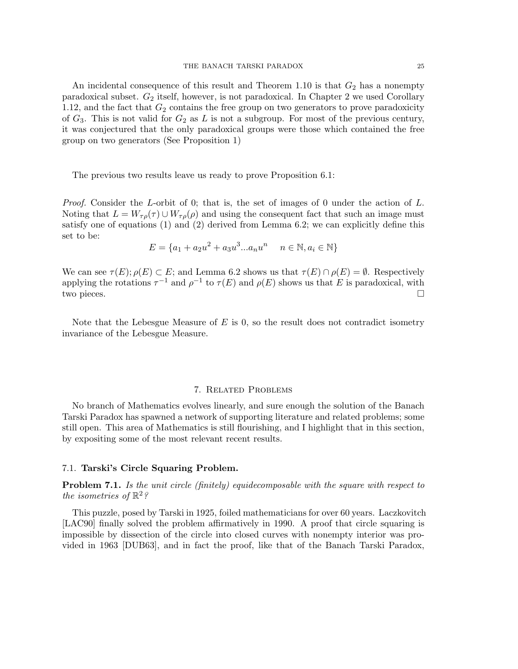An incidental consequence of this result and Theorem 1.10 is that  $G_2$  has a nonempty paradoxical subset.  $G_2$  itself, however, is not paradoxical. In Chapter 2 we used Corollary 1.12, and the fact that  $G_2$  contains the free group on two generators to prove paradoxicity of  $G_3$ . This is not valid for  $G_2$  as L is not a subgroup. For most of the previous century, it was conjectured that the only paradoxical groups were those which contained the free group on two generators (See Proposition 1)

The previous two results leave us ready to prove Proposition 6.1:

*Proof.* Consider the L-orbit of 0; that is, the set of images of 0 under the action of  $L$ . Noting that  $L = W_{\tau \rho}(\tau) \cup W_{\tau \rho}(\rho)$  and using the consequent fact that such an image must satisfy one of equations (1) and (2) derived from Lemma 6.2; we can explicitly define this set to be:

$$
E = \{a_1 + a_2u^2 + a_3u^3...a_nu^n \mid n \in \mathbb{N}, a_i \in \mathbb{N}\}
$$

We can see  $\tau(E); \rho(E) \subset E$ ; and Lemma 6.2 shows us that  $\tau(E) \cap \rho(E) = \emptyset$ . Respectively applying the rotations  $\tau^{-1}$  and  $\rho^{-1}$  to  $\tau(E)$  and  $\rho(E)$  shows us that E is paradoxical, with two pieces.

Note that the Lebesgue Measure of  $E$  is 0, so the result does not contradict isometry invariance of the Lebesgue Measure.

## 7. Related Problems

No branch of Mathematics evolves linearly, and sure enough the solution of the Banach Tarski Paradox has spawned a network of supporting literature and related problems; some still open. This area of Mathematics is still flourishing, and I highlight that in this section, by expositing some of the most relevant recent results.

## 7.1. Tarski's Circle Squaring Problem.

Problem 7.1. Is the unit circle (finitely) equidecomposable with the square with respect to the isometries of  $\mathbb{R}^2$ ?

This puzzle, posed by Tarski in 1925, foiled mathematicians for over 60 years. Laczkovitch [LAC90] finally solved the problem affirmatively in 1990. A proof that circle squaring is impossible by dissection of the circle into closed curves with nonempty interior was provided in 1963 [DUB63], and in fact the proof, like that of the Banach Tarski Paradox,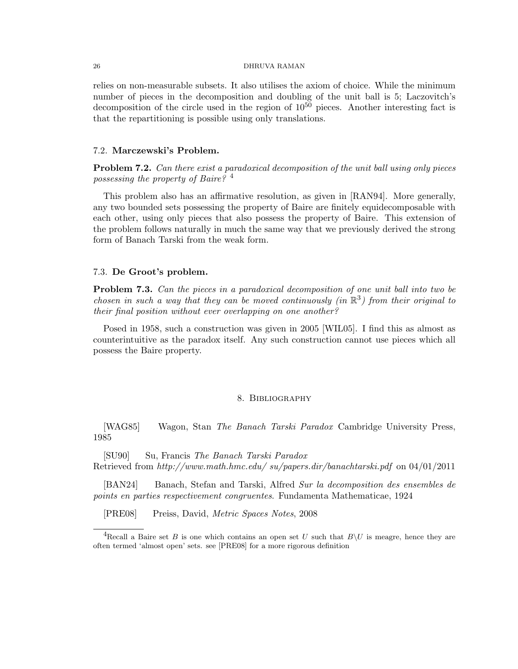relies on non-measurable subsets. It also utilises the axiom of choice. While the minimum number of pieces in the decomposition and doubling of the unit ball is 5; Laczovitch's decomposition of the circle used in the region of  $10^{50}$  pieces. Another interesting fact is that the repartitioning is possible using only translations.

## 7.2. Marczewski's Problem.

Problem 7.2. Can there exist a paradoxical decomposition of the unit ball using only pieces possessing the property of Baire? 4

This problem also has an affirmative resolution, as given in [RAN94]. More generally, any two bounded sets possessing the property of Baire are finitely equidecomposable with each other, using only pieces that also possess the property of Baire. This extension of the problem follows naturally in much the same way that we previously derived the strong form of Banach Tarski from the weak form.

## 7.3. De Groot's problem.

**Problem 7.3.** Can the pieces in a paradoxical decomposition of one unit ball into two be chosen in such a way that they can be moved continuously (in  $\mathbb{R}^3$ ) from their original to their final position without ever overlapping on one another?

Posed in 1958, such a construction was given in 2005 [WIL05]. I find this as almost as counterintuitive as the paradox itself. Any such construction cannot use pieces which all possess the Baire property.

#### 8. Bibliography

[WAG85] Wagon, Stan The Banach Tarski Paradox Cambridge University Press, 1985

[SU90] Su, Francis The Banach Tarski Paradox Retrieved from http://www.math.hmc.edu/ su/papers.dir/banachtarski.pdf on 04/01/2011

[BAN24] Banach, Stefan and Tarski, Alfred Sur la decomposition des ensembles de points en parties respectivement congruentes. Fundamenta Mathematicae, 1924

[PRE08] Preiss, David, Metric Spaces Notes, 2008

<sup>&</sup>lt;sup>4</sup>Recall a Baire set B is one which contains an open set U such that  $B\setminus U$  is meagre, hence they are often termed 'almost open' sets. see [PRE08] for a more rigorous definition